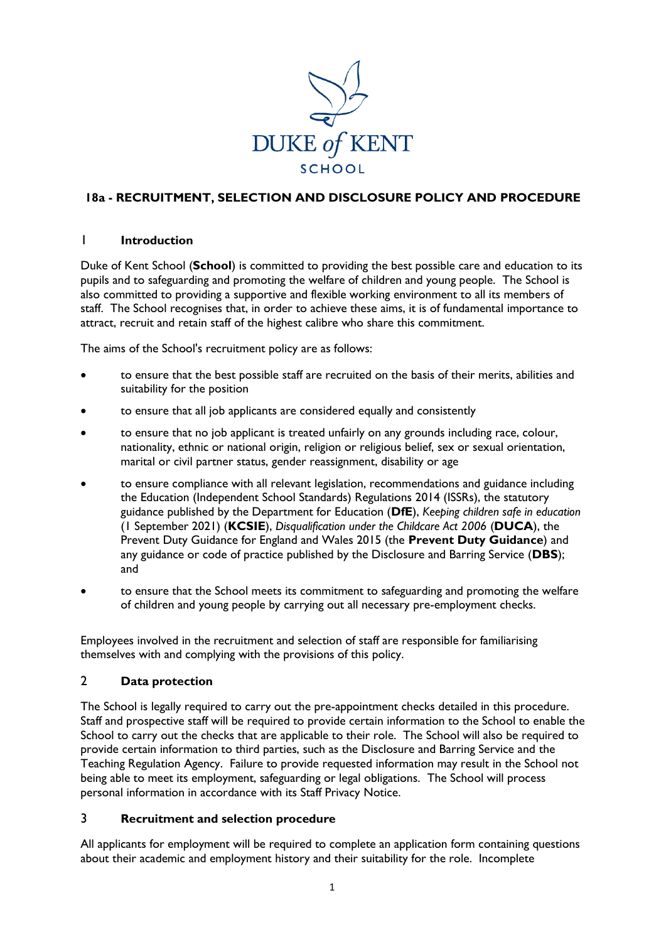

# **18a - RECRUITMENT, SELECTION AND DISCLOSURE POLICY AND PROCEDURE**

#### 1 **Introduction**

Duke of Kent School (**School**) is committed to providing the best possible care and education to its pupils and to safeguarding and promoting the welfare of children and young people. The School is also committed to providing a supportive and flexible working environment to all its members of staff. The School recognises that, in order to achieve these aims, it is of fundamental importance to attract, recruit and retain staff of the highest calibre who share this commitment.

The aims of the School's recruitment policy are as follows:

- to ensure that the best possible staff are recruited on the basis of their merits, abilities and suitability for the position
- to ensure that all job applicants are considered equally and consistently
- to ensure that no job applicant is treated unfairly on any grounds including race, colour, nationality, ethnic or national origin, religion or religious belief, sex or sexual orientation, marital or civil partner status, gender reassignment, disability or age
- to ensure compliance with all relevant legislation, recommendations and guidance including the Education (Independent School Standards) Regulations 2014 (ISSRs), the statutory guidance published by the Department for Education (**DfE**), *Keeping children safe in education* (1 September 2021) (**KCSIE**), *Disqualification under the Childcare Act 2006* (**DUCA**), the Prevent Duty Guidance for England and Wales 2015 (the **Prevent Duty Guidance**) and any guidance or code of practice published by the Disclosure and Barring Service (**DBS**); and
- to ensure that the School meets its commitment to safeguarding and promoting the welfare of children and young people by carrying out all necessary pre-employment checks.

Employees involved in the recruitment and selection of staff are responsible for familiarising themselves with and complying with the provisions of this policy.

## 2 **Data protection**

The School is legally required to carry out the pre-appointment checks detailed in this procedure. Staff and prospective staff will be required to provide certain information to the School to enable the School to carry out the checks that are applicable to their role. The School will also be required to provide certain information to third parties, such as the Disclosure and Barring Service and the Teaching Regulation Agency. Failure to provide requested information may result in the School not being able to meet its employment, safeguarding or legal obligations. The School will process personal information in accordance with its Staff Privacy Notice.

## 3 **Recruitment and selection procedure**

All applicants for employment will be required to complete an application form containing questions about their academic and employment history and their suitability for the role. Incomplete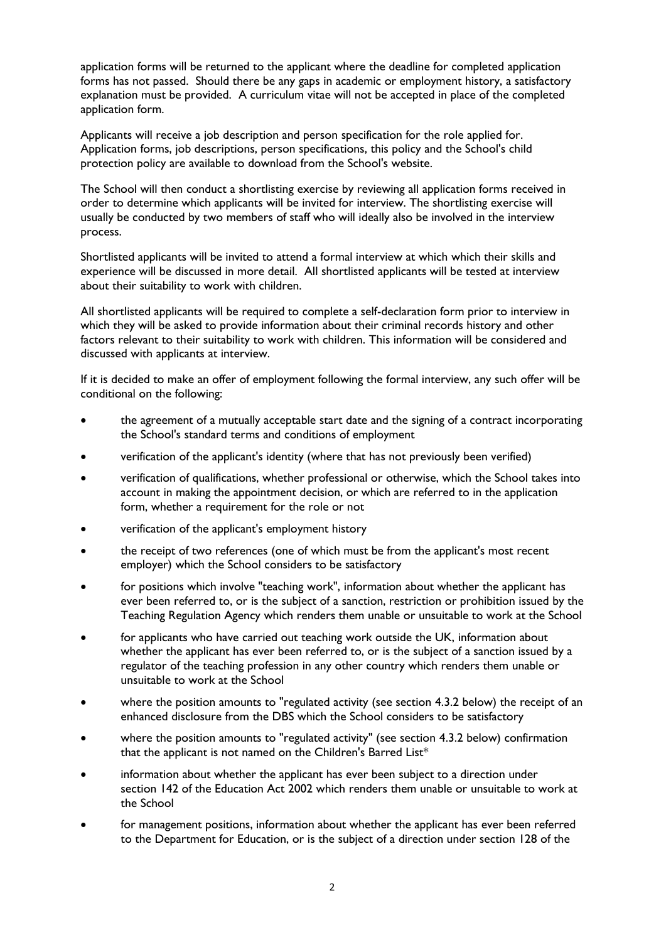application forms will be returned to the applicant where the deadline for completed application forms has not passed. Should there be any gaps in academic or employment history, a satisfactory explanation must be provided. A curriculum vitae will not be accepted in place of the completed application form.

Applicants will receive a job description and person specification for the role applied for. Application forms, job descriptions, person specifications, this policy and the School's child protection policy are available to download from the School's website.

The School will then conduct a shortlisting exercise by reviewing all application forms received in order to determine which applicants will be invited for interview. The shortlisting exercise will usually be conducted by two members of staff who will ideally also be involved in the interview process.

Shortlisted applicants will be invited to attend a formal interview at which which their skills and experience will be discussed in more detail. All shortlisted applicants will be tested at interview about their suitability to work with children.

All shortlisted applicants will be required to complete a self-declaration form prior to interview in which they will be asked to provide information about their criminal records history and other factors relevant to their suitability to work with children. This information will be considered and discussed with applicants at interview.

If it is decided to make an offer of employment following the formal interview, any such offer will be conditional on the following:

- the agreement of a mutually acceptable start date and the signing of a contract incorporating the School's standard terms and conditions of employment
- verification of the applicant's identity (where that has not previously been verified)
- verification of qualifications, whether professional or otherwise, which the School takes into account in making the appointment decision, or which are referred to in the application form, whether a requirement for the role or not
- verification of the applicant's employment history
- the receipt of two references (one of which must be from the applicant's most recent employer) which the School considers to be satisfactory
- for positions which involve "teaching work", information about whether the applicant has ever been referred to, or is the subject of a sanction, restriction or prohibition issued by the Teaching Regulation Agency which renders them unable or unsuitable to work at the School
- for applicants who have carried out teaching work outside the UK, information about whether the applicant has ever been referred to, or is the subject of a sanction issued by a regulator of the teaching profession in any other country which renders them unable or unsuitable to work at the School
- where the position amounts to "regulated activity (see section 4.3.2 below) the receipt of an enhanced disclosure from the DBS which the School considers to be satisfactory
- where the position amounts to "regulated activity" (see section 4.3.2 below) confirmation that the applicant is not named on the Children's Barred List\*
- information about whether the applicant has ever been subject to a direction under section 142 of the Education Act 2002 which renders them unable or unsuitable to work at the School
- for management positions, information about whether the applicant has ever been referred to the Department for Education, or is the subject of a direction under section 128 of the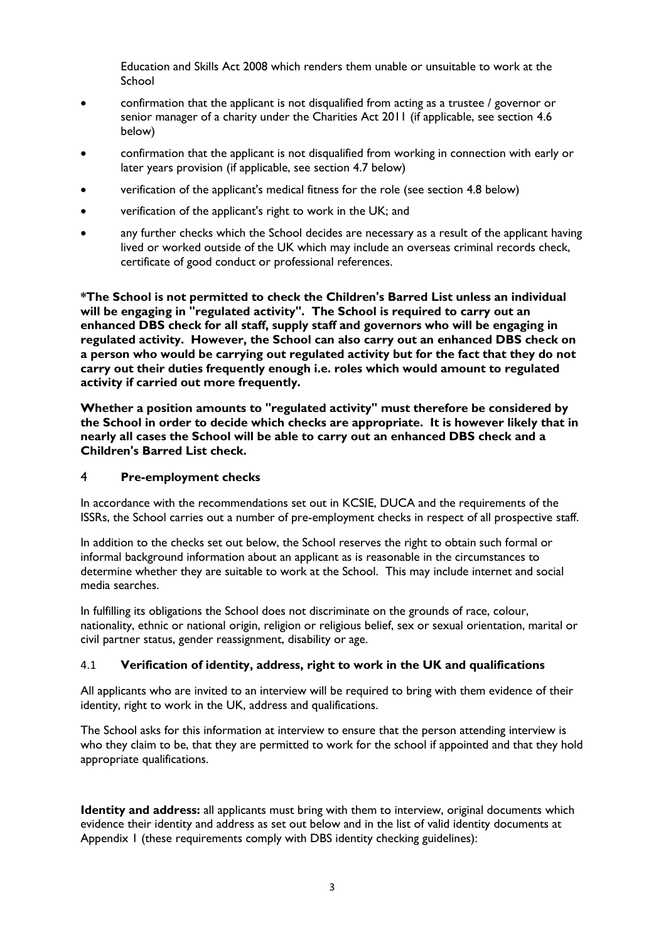Education and Skills Act 2008 which renders them unable or unsuitable to work at the School

- confirmation that the applicant is not disqualified from acting as a trustee / governor or senior manager of a charity under the Charities Act 2011 (if applicable, see section 4.6 below)
- confirmation that the applicant is not disqualified from working in connection with early or later years provision (if applicable, see section 4.7 below)
- verification of the applicant's medical fitness for the role (see section 4.8 below)
- verification of the applicant's right to work in the UK; and
- any further checks which the School decides are necessary as a result of the applicant having lived or worked outside of the UK which may include an overseas criminal records check, certificate of good conduct or professional references.

**\*The School is not permitted to check the Children's Barred List unless an individual will be engaging in "regulated activity". The School is required to carry out an enhanced DBS check for all staff, supply staff and governors who will be engaging in regulated activity. However, the School can also carry out an enhanced DBS check on a person who would be carrying out regulated activity but for the fact that they do not carry out their duties frequently enough i.e. roles which would amount to regulated activity if carried out more frequently.**

**Whether a position amounts to "regulated activity" must therefore be considered by the School in order to decide which checks are appropriate. It is however likely that in nearly all cases the School will be able to carry out an enhanced DBS check and a Children's Barred List check.**

#### 4 **Pre-employment checks**

In accordance with the recommendations set out in KCSIE, DUCA and the requirements of the ISSRs, the School carries out a number of pre-employment checks in respect of all prospective staff.

In addition to the checks set out below, the School reserves the right to obtain such formal or informal background information about an applicant as is reasonable in the circumstances to determine whether they are suitable to work at the School. This may include internet and social media searches.

In fulfilling its obligations the School does not discriminate on the grounds of race, colour, nationality, ethnic or national origin, religion or religious belief, sex or sexual orientation, marital or civil partner status, gender reassignment, disability or age.

## 4.1 **Verification of identity, address, right to work in the UK and qualifications**

All applicants who are invited to an interview will be required to bring with them evidence of their identity, right to work in the UK, address and qualifications.

The School asks for this information at interview to ensure that the person attending interview is who they claim to be, that they are permitted to work for the school if appointed and that they hold appropriate qualifications.

**Identity and address:** all applicants must bring with them to interview, original documents which evidence their identity and address as set out below and in the list of valid identity documents at Appendix 1 (these requirements comply with DBS identity checking guidelines):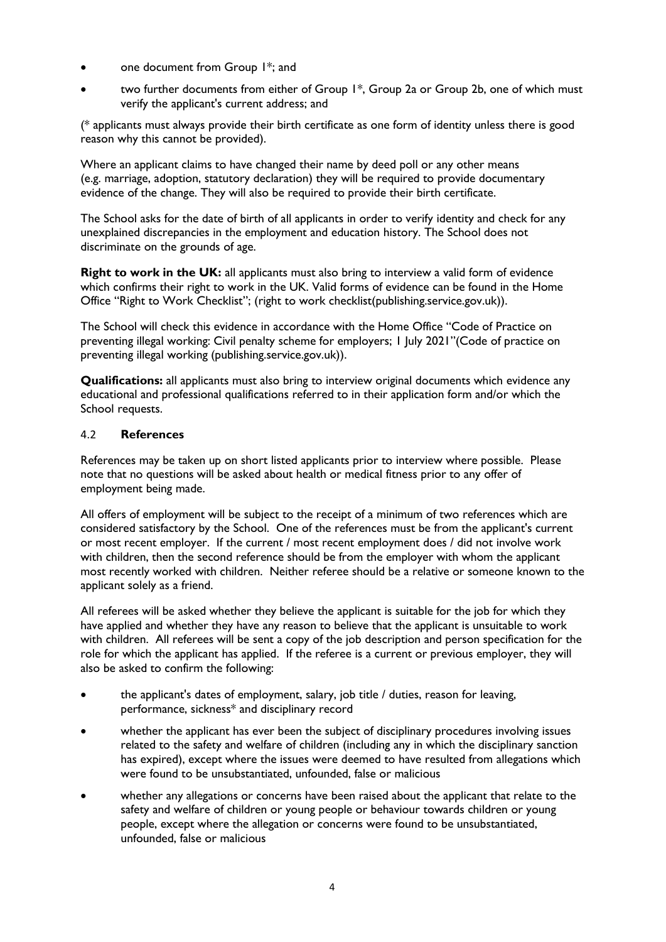- one document from Group 1\*; and
- two further documents from either of Group 1\*, Group 2a or Group 2b, one of which must verify the applicant's current address; and

(\* applicants must always provide their birth certificate as one form of identity unless there is good reason why this cannot be provided).

Where an applicant claims to have changed their name by deed poll or any other means (e.g. marriage, adoption, statutory declaration) they will be required to provide documentary evidence of the change. They will also be required to provide their birth certificate.

The School asks for the date of birth of all applicants in order to verify identity and check for any unexplained discrepancies in the employment and education history. The School does not discriminate on the grounds of age.

**Right to work in the UK:** all applicants must also bring to interview a valid form of evidence which confirms their right to work in the UK. Valid forms of evidence can be found in the Home Office "Right to Work Checklist"; (right to work checklist(publishing.service.gov.uk)).

The School will check this evidence in accordance with the Home Office "Code of Practice on preventing illegal working: Civil penalty scheme for employers; 1 July 2021"(Code of practice on preventing illegal working (publishing.service.gov.uk)).

**Qualifications:** all applicants must also bring to interview original documents which evidence any educational and professional qualifications referred to in their application form and/or which the School requests.

## 4.2 **References**

References may be taken up on short listed applicants prior to interview where possible. Please note that no questions will be asked about health or medical fitness prior to any offer of employment being made.

All offers of employment will be subject to the receipt of a minimum of two references which are considered satisfactory by the School. One of the references must be from the applicant's current or most recent employer. If the current / most recent employment does / did not involve work with children, then the second reference should be from the employer with whom the applicant most recently worked with children. Neither referee should be a relative or someone known to the applicant solely as a friend.

All referees will be asked whether they believe the applicant is suitable for the job for which they have applied and whether they have any reason to believe that the applicant is unsuitable to work with children. All referees will be sent a copy of the job description and person specification for the role for which the applicant has applied. If the referee is a current or previous employer, they will also be asked to confirm the following:

- the applicant's dates of employment, salary, job title / duties, reason for leaving, performance, sickness\* and disciplinary record
- whether the applicant has ever been the subject of disciplinary procedures involving issues related to the safety and welfare of children (including any in which the disciplinary sanction has expired), except where the issues were deemed to have resulted from allegations which were found to be unsubstantiated, unfounded, false or malicious
- whether any allegations or concerns have been raised about the applicant that relate to the safety and welfare of children or young people or behaviour towards children or young people, except where the allegation or concerns were found to be unsubstantiated, unfounded, false or malicious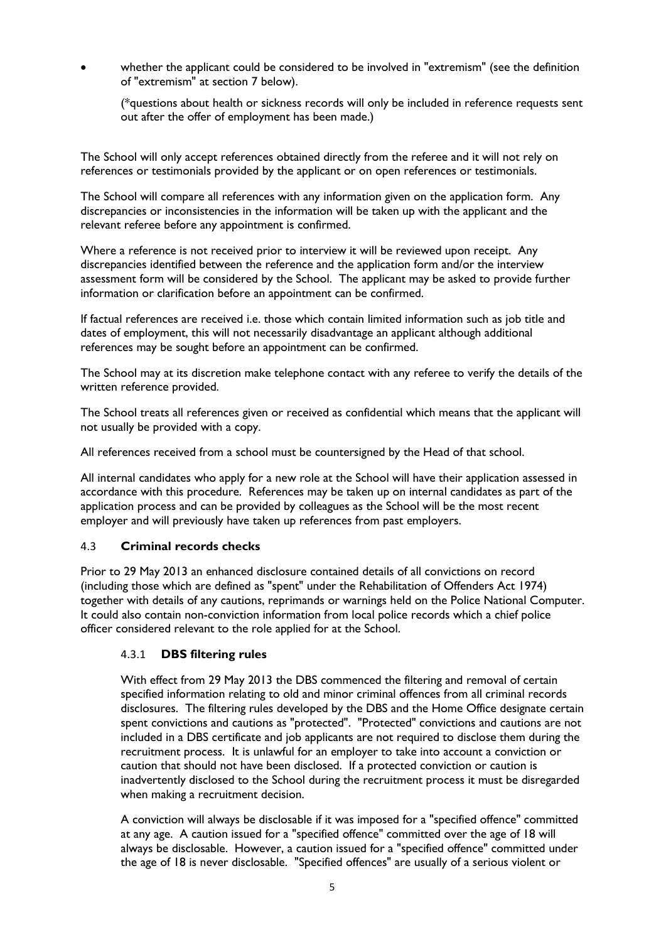whether the applicant could be considered to be involved in "extremism" (see the definition of "extremism" at section 7 below).

(\*questions about health or sickness records will only be included in reference requests sent out after the offer of employment has been made.)

The School will only accept references obtained directly from the referee and it will not rely on references or testimonials provided by the applicant or on open references or testimonials.

The School will compare all references with any information given on the application form. Any discrepancies or inconsistencies in the information will be taken up with the applicant and the relevant referee before any appointment is confirmed.

Where a reference is not received prior to interview it will be reviewed upon receipt. Any discrepancies identified between the reference and the application form and/or the interview assessment form will be considered by the School. The applicant may be asked to provide further information or clarification before an appointment can be confirmed.

If factual references are received i.e. those which contain limited information such as job title and dates of employment, this will not necessarily disadvantage an applicant although additional references may be sought before an appointment can be confirmed.

The School may at its discretion make telephone contact with any referee to verify the details of the written reference provided.

The School treats all references given or received as confidential which means that the applicant will not usually be provided with a copy.

All references received from a school must be countersigned by the Head of that school.

All internal candidates who apply for a new role at the School will have their application assessed in accordance with this procedure. References may be taken up on internal candidates as part of the application process and can be provided by colleagues as the School will be the most recent employer and will previously have taken up references from past employers.

#### 4.3 **Criminal records checks**

Prior to 29 May 2013 an enhanced disclosure contained details of all convictions on record (including those which are defined as "spent" under the Rehabilitation of Offenders Act 1974) together with details of any cautions, reprimands or warnings held on the Police National Computer. It could also contain non-conviction information from local police records which a chief police officer considered relevant to the role applied for at the School.

#### 4.3.1 **DBS filtering rules**

With effect from 29 May 2013 the DBS commenced the filtering and removal of certain specified information relating to old and minor criminal offences from all criminal records disclosures. The filtering rules developed by the DBS and the Home Office designate certain spent convictions and cautions as "protected". "Protected" convictions and cautions are not included in a DBS certificate and job applicants are not required to disclose them during the recruitment process. It is unlawful for an employer to take into account a conviction or caution that should not have been disclosed. If a protected conviction or caution is inadvertently disclosed to the School during the recruitment process it must be disregarded when making a recruitment decision.

A conviction will always be disclosable if it was imposed for a "specified offence" committed at any age. A caution issued for a "specified offence" committed over the age of 18 will always be disclosable. However, a caution issued for a "specified offence" committed under the age of 18 is never disclosable. "Specified offences" are usually of a serious violent or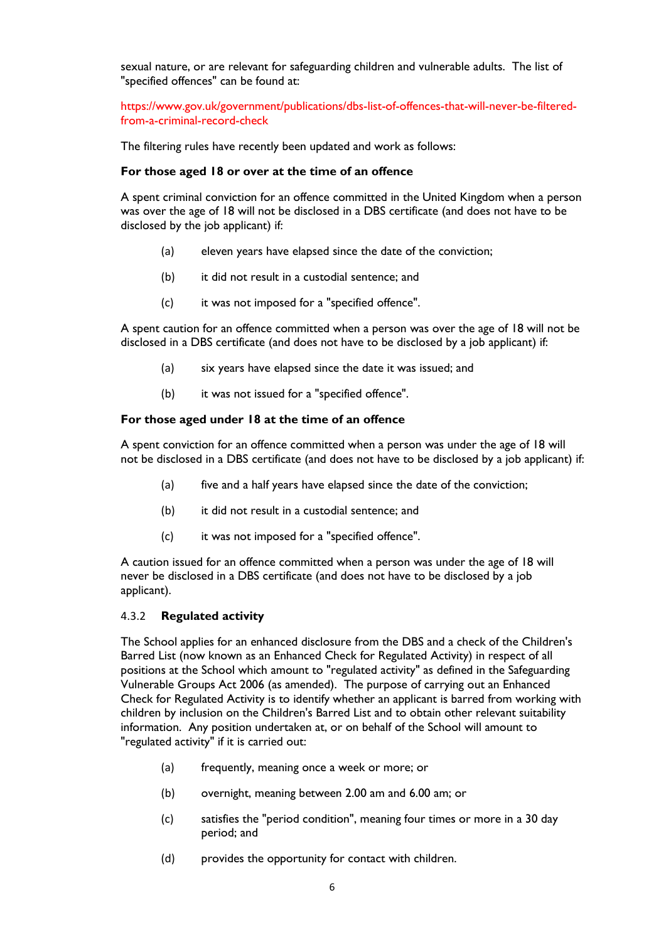sexual nature, or are relevant for safeguarding children and vulnerable adults. The list of "specified offences" can be found at:

https://www.gov.uk/government/publications/dbs-list-of-offences-that-will-never-be-filteredfrom-a-criminal-record-check

The filtering rules have recently been updated and work as follows:

#### **For those aged 18 or over at the time of an offence**

A spent criminal conviction for an offence committed in the United Kingdom when a person was over the age of 18 will not be disclosed in a DBS certificate (and does not have to be disclosed by the job applicant) if:

- (a) eleven years have elapsed since the date of the conviction;
- (b) it did not result in a custodial sentence; and
- (c) it was not imposed for a "specified offence".

A spent caution for an offence committed when a person was over the age of 18 will not be disclosed in a DBS certificate (and does not have to be disclosed by a job applicant) if:

- (a) six years have elapsed since the date it was issued; and
- (b) it was not issued for a "specified offence".

#### **For those aged under 18 at the time of an offence**

A spent conviction for an offence committed when a person was under the age of 18 will not be disclosed in a DBS certificate (and does not have to be disclosed by a job applicant) if:

- (a) five and a half years have elapsed since the date of the conviction;
- (b) it did not result in a custodial sentence; and
- (c) it was not imposed for a "specified offence".

A caution issued for an offence committed when a person was under the age of 18 will never be disclosed in a DBS certificate (and does not have to be disclosed by a job applicant).

#### 4.3.2 **Regulated activity**

The School applies for an enhanced disclosure from the DBS and a check of the Children's Barred List (now known as an Enhanced Check for Regulated Activity) in respect of all positions at the School which amount to "regulated activity" as defined in the Safeguarding Vulnerable Groups Act 2006 (as amended). The purpose of carrying out an Enhanced Check for Regulated Activity is to identify whether an applicant is barred from working with children by inclusion on the Children's Barred List and to obtain other relevant suitability information. Any position undertaken at, or on behalf of the School will amount to "regulated activity" if it is carried out:

- (a) frequently, meaning once a week or more; or
- (b) overnight, meaning between 2.00 am and 6.00 am; or
- (c) satisfies the "period condition", meaning four times or more in a 30 day period; and
- (d) provides the opportunity for contact with children.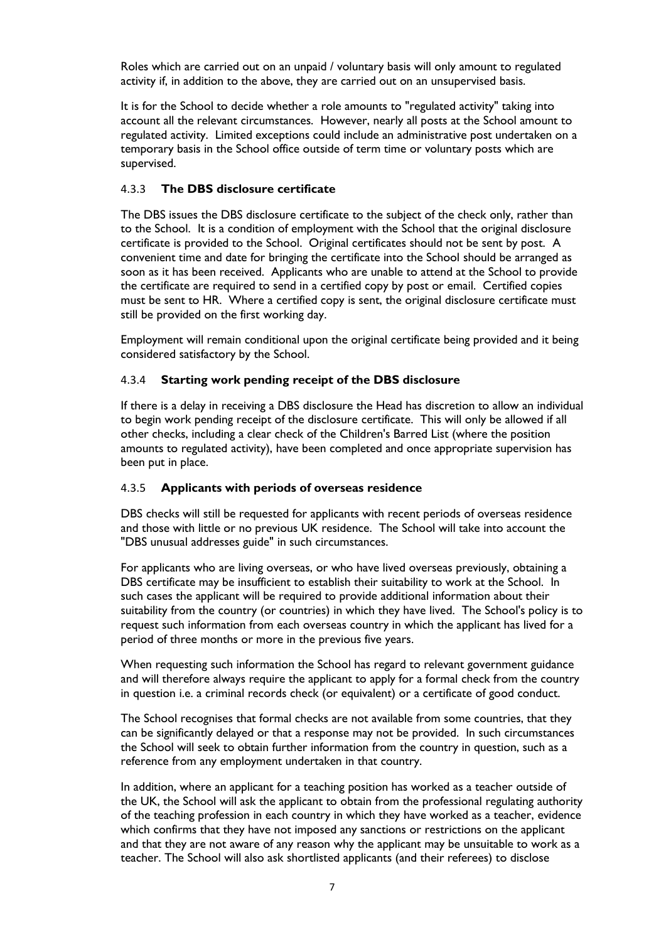Roles which are carried out on an unpaid / voluntary basis will only amount to regulated activity if, in addition to the above, they are carried out on an unsupervised basis.

It is for the School to decide whether a role amounts to "regulated activity" taking into account all the relevant circumstances. However, nearly all posts at the School amount to regulated activity. Limited exceptions could include an administrative post undertaken on a temporary basis in the School office outside of term time or voluntary posts which are supervised.

#### 4.3.3 **The DBS disclosure certificate**

The DBS issues the DBS disclosure certificate to the subject of the check only, rather than to the School. It is a condition of employment with the School that the original disclosure certificate is provided to the School. Original certificates should not be sent by post. A convenient time and date for bringing the certificate into the School should be arranged as soon as it has been received. Applicants who are unable to attend at the School to provide the certificate are required to send in a certified copy by post or email. Certified copies must be sent to HR. Where a certified copy is sent, the original disclosure certificate must still be provided on the first working day.

Employment will remain conditional upon the original certificate being provided and it being considered satisfactory by the School.

## 4.3.4 **Starting work pending receipt of the DBS disclosure**

If there is a delay in receiving a DBS disclosure the Head has discretion to allow an individual to begin work pending receipt of the disclosure certificate. This will only be allowed if all other checks, including a clear check of the Children's Barred List (where the position amounts to regulated activity), have been completed and once appropriate supervision has been put in place.

#### 4.3.5 **Applicants with periods of overseas residence**

DBS checks will still be requested for applicants with recent periods of overseas residence and those with little or no previous UK residence. The School will take into account the "DBS unusual addresses guide" in such circumstances.

For applicants who are living overseas, or who have lived overseas previously, obtaining a DBS certificate may be insufficient to establish their suitability to work at the School. In such cases the applicant will be required to provide additional information about their suitability from the country (or countries) in which they have lived. The School's policy is to request such information from each overseas country in which the applicant has lived for a period of three months or more in the previous five years.

When requesting such information the School has regard to relevant government guidance and will therefore always require the applicant to apply for a formal check from the country in question i.e. a criminal records check (or equivalent) or a certificate of good conduct.

The School recognises that formal checks are not available from some countries, that they can be significantly delayed or that a response may not be provided. In such circumstances the School will seek to obtain further information from the country in question, such as a reference from any employment undertaken in that country.

In addition, where an applicant for a teaching position has worked as a teacher outside of the UK, the School will ask the applicant to obtain from the professional regulating authority of the teaching profession in each country in which they have worked as a teacher, evidence which confirms that they have not imposed any sanctions or restrictions on the applicant and that they are not aware of any reason why the applicant may be unsuitable to work as a teacher. The School will also ask shortlisted applicants (and their referees) to disclose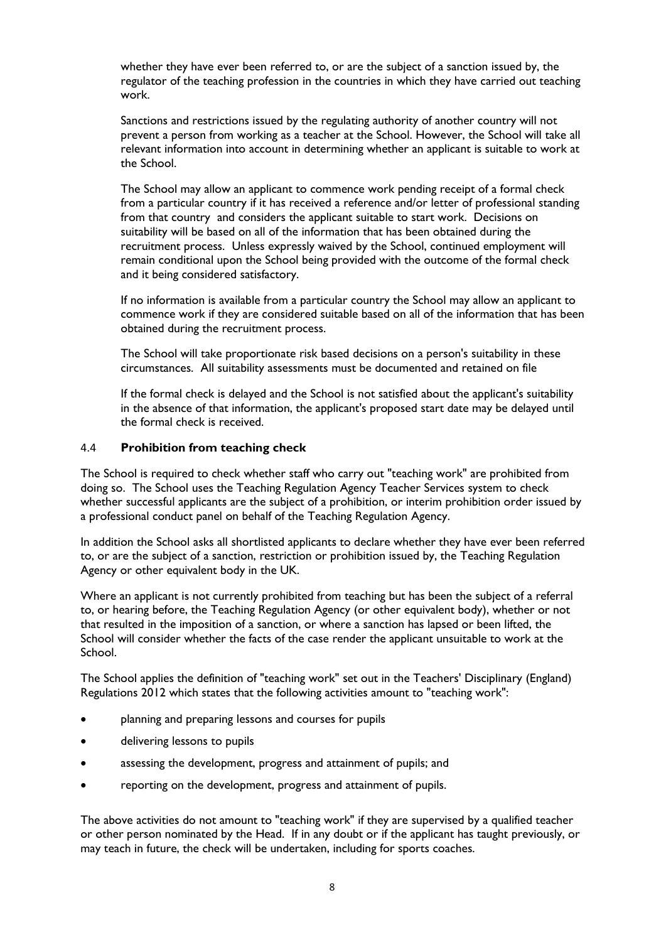whether they have ever been referred to, or are the subject of a sanction issued by, the regulator of the teaching profession in the countries in which they have carried out teaching work.

Sanctions and restrictions issued by the regulating authority of another country will not prevent a person from working as a teacher at the School. However, the School will take all relevant information into account in determining whether an applicant is suitable to work at the School.

The School may allow an applicant to commence work pending receipt of a formal check from a particular country if it has received a reference and/or letter of professional standing from that country and considers the applicant suitable to start work. Decisions on suitability will be based on all of the information that has been obtained during the recruitment process. Unless expressly waived by the School, continued employment will remain conditional upon the School being provided with the outcome of the formal check and it being considered satisfactory.

If no information is available from a particular country the School may allow an applicant to commence work if they are considered suitable based on all of the information that has been obtained during the recruitment process.

The School will take proportionate risk based decisions on a person's suitability in these circumstances. All suitability assessments must be documented and retained on file

If the formal check is delayed and the School is not satisfied about the applicant's suitability in the absence of that information, the applicant's proposed start date may be delayed until the formal check is received.

#### 4.4 **Prohibition from teaching check**

The School is required to check whether staff who carry out "teaching work" are prohibited from doing so. The School uses the Teaching Regulation Agency Teacher Services system to check whether successful applicants are the subject of a prohibition, or interim prohibition order issued by a professional conduct panel on behalf of the Teaching Regulation Agency.

In addition the School asks all shortlisted applicants to declare whether they have ever been referred to, or are the subject of a sanction, restriction or prohibition issued by, the Teaching Regulation Agency or other equivalent body in the UK.

Where an applicant is not currently prohibited from teaching but has been the subject of a referral to, or hearing before, the Teaching Regulation Agency (or other equivalent body), whether or not that resulted in the imposition of a sanction, or where a sanction has lapsed or been lifted, the School will consider whether the facts of the case render the applicant unsuitable to work at the School.

The School applies the definition of "teaching work" set out in the Teachers' Disciplinary (England) Regulations 2012 which states that the following activities amount to "teaching work":

- planning and preparing lessons and courses for pupils
- delivering lessons to pupils
- assessing the development, progress and attainment of pupils; and
- reporting on the development, progress and attainment of pupils.

The above activities do not amount to "teaching work" if they are supervised by a qualified teacher or other person nominated by the Head. If in any doubt or if the applicant has taught previously, or may teach in future, the check will be undertaken, including for sports coaches.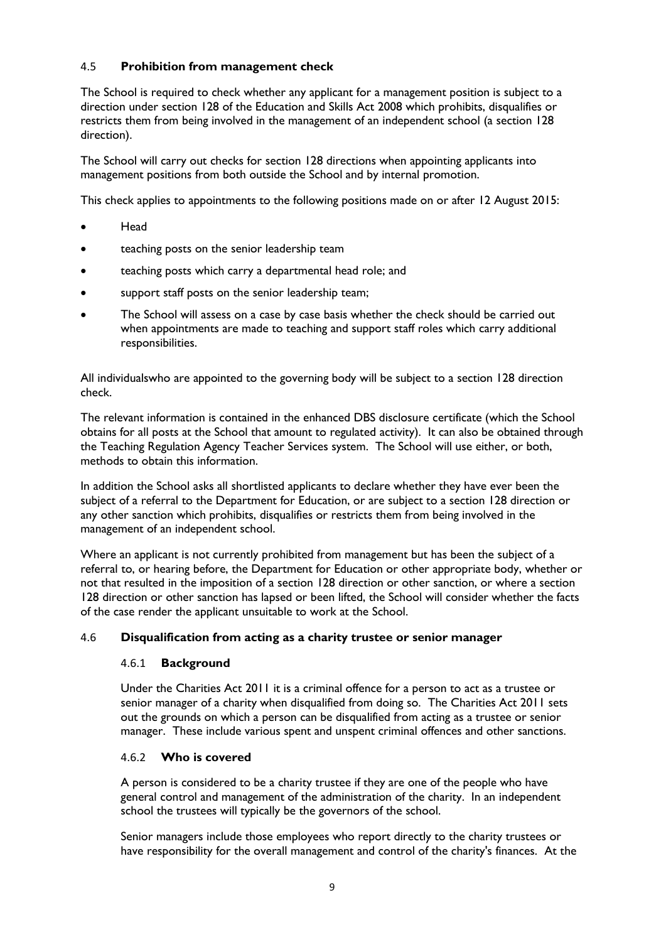## 4.5 **Prohibition from management check**

The School is required to check whether any applicant for a management position is subject to a direction under section 128 of the Education and Skills Act 2008 which prohibits, disqualifies or restricts them from being involved in the management of an independent school (a section 128 direction).

The School will carry out checks for section 128 directions when appointing applicants into management positions from both outside the School and by internal promotion.

This check applies to appointments to the following positions made on or after 12 August 2015:

- Head
- teaching posts on the senior leadership team
- teaching posts which carry a departmental head role; and
- support staff posts on the senior leadership team;
- The School will assess on a case by case basis whether the check should be carried out when appointments are made to teaching and support staff roles which carry additional responsibilities.

All individualswho are appointed to the governing body will be subject to a section 128 direction check.

The relevant information is contained in the enhanced DBS disclosure certificate (which the School obtains for all posts at the School that amount to regulated activity). It can also be obtained through the Teaching Regulation Agency Teacher Services system. The School will use either, or both, methods to obtain this information.

In addition the School asks all shortlisted applicants to declare whether they have ever been the subject of a referral to the Department for Education, or are subject to a section 128 direction or any other sanction which prohibits, disqualifies or restricts them from being involved in the management of an independent school.

Where an applicant is not currently prohibited from management but has been the subject of a referral to, or hearing before, the Department for Education or other appropriate body, whether or not that resulted in the imposition of a section 128 direction or other sanction, or where a section 128 direction or other sanction has lapsed or been lifted, the School will consider whether the facts of the case render the applicant unsuitable to work at the School.

## 4.6 **Disqualification from acting as a charity trustee or senior manager**

## 4.6.1 **Background**

Under the Charities Act 2011 it is a criminal offence for a person to act as a trustee or senior manager of a charity when disqualified from doing so. The Charities Act 2011 sets out the grounds on which a person can be disqualified from acting as a trustee or senior manager. These include various spent and unspent criminal offences and other sanctions.

## 4.6.2 **Who is covered**

A person is considered to be a charity trustee if they are one of the people who have general control and management of the administration of the charity. In an independent school the trustees will typically be the governors of the school.

Senior managers include those employees who report directly to the charity trustees or have responsibility for the overall management and control of the charity's finances. At the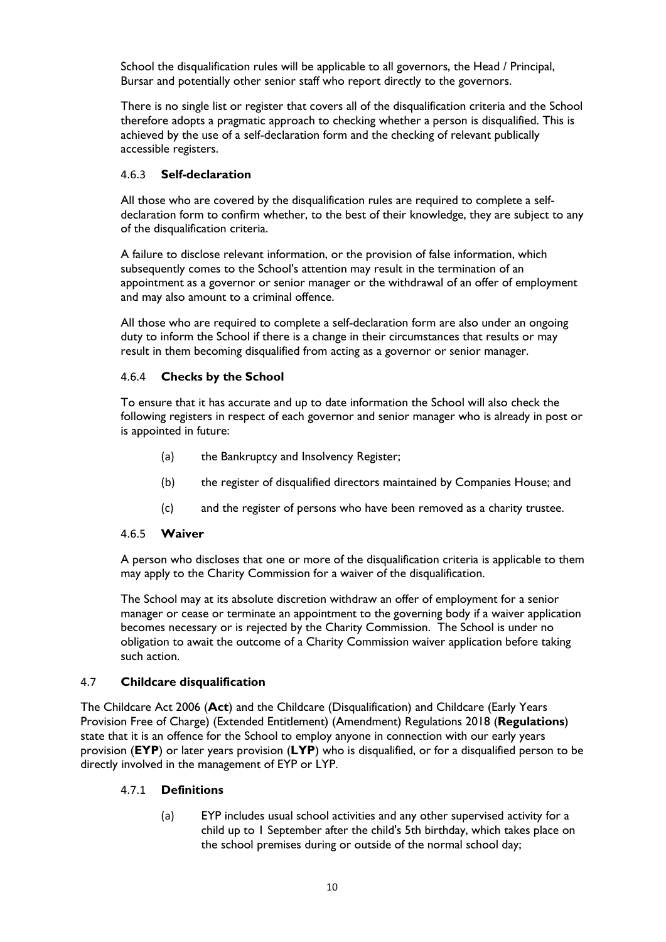School the disqualification rules will be applicable to all governors, the Head / Principal, Bursar and potentially other senior staff who report directly to the governors.

There is no single list or register that covers all of the disqualification criteria and the School therefore adopts a pragmatic approach to checking whether a person is disqualified. This is achieved by the use of a self-declaration form and the checking of relevant publically accessible registers.

#### 4.6.3 **Self-declaration**

All those who are covered by the disqualification rules are required to complete a selfdeclaration form to confirm whether, to the best of their knowledge, they are subject to any of the disqualification criteria.

A failure to disclose relevant information, or the provision of false information, which subsequently comes to the School's attention may result in the termination of an appointment as a governor or senior manager or the withdrawal of an offer of employment and may also amount to a criminal offence.

All those who are required to complete a self-declaration form are also under an ongoing duty to inform the School if there is a change in their circumstances that results or may result in them becoming disqualified from acting as a governor or senior manager.

## 4.6.4 **Checks by the School**

To ensure that it has accurate and up to date information the School will also check the following registers in respect of each governor and senior manager who is already in post or is appointed in future:

- (a) the Bankruptcy and Insolvency Register;
- (b) the register of disqualified directors maintained by Companies House; and
- (c) and the register of persons who have been removed as a charity trustee.

#### 4.6.5 **Waiver**

A person who discloses that one or more of the disqualification criteria is applicable to them may apply to the Charity Commission for a waiver of the disqualification.

The School may at its absolute discretion withdraw an offer of employment for a senior manager or cease or terminate an appointment to the governing body if a waiver application becomes necessary or is rejected by the Charity Commission. The School is under no obligation to await the outcome of a Charity Commission waiver application before taking such action.

## 4.7 **Childcare disqualification**

The Childcare Act 2006 (**Act**) and the Childcare (Disqualification) and Childcare (Early Years Provision Free of Charge) (Extended Entitlement) (Amendment) Regulations 2018 (**Regulations**) state that it is an offence for the School to employ anyone in connection with our early years provision (**EYP**) or later years provision (**LYP**) who is disqualified, or for a disqualified person to be directly involved in the management of EYP or LYP.

## 4.7.1 **Definitions**

(a) EYP includes usual school activities and any other supervised activity for a child up to 1 September after the child's 5th birthday, which takes place on the school premises during or outside of the normal school day;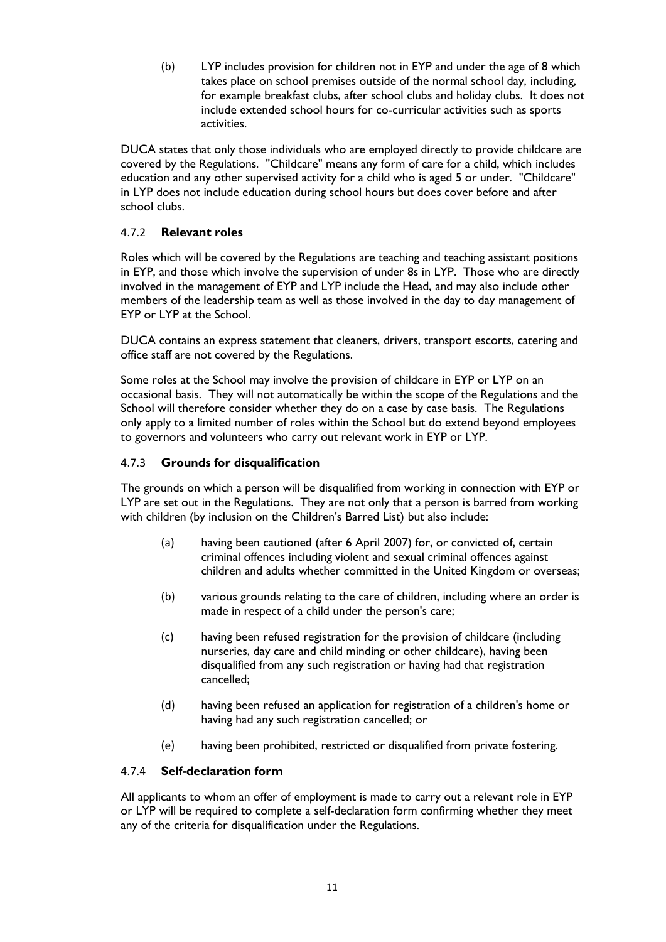(b) LYP includes provision for children not in EYP and under the age of 8 which takes place on school premises outside of the normal school day, including, for example breakfast clubs, after school clubs and holiday clubs. It does not include extended school hours for co-curricular activities such as sports activities.

DUCA states that only those individuals who are employed directly to provide childcare are covered by the Regulations. "Childcare" means any form of care for a child, which includes education and any other supervised activity for a child who is aged 5 or under. "Childcare" in LYP does not include education during school hours but does cover before and after school clubs.

# 4.7.2 **Relevant roles**

Roles which will be covered by the Regulations are teaching and teaching assistant positions in EYP, and those which involve the supervision of under 8s in LYP. Those who are directly involved in the management of EYP and LYP include the Head, and may also include other members of the leadership team as well as those involved in the day to day management of EYP or LYP at the School.

DUCA contains an express statement that cleaners, drivers, transport escorts, catering and office staff are not covered by the Regulations.

Some roles at the School may involve the provision of childcare in EYP or LYP on an occasional basis. They will not automatically be within the scope of the Regulations and the School will therefore consider whether they do on a case by case basis. The Regulations only apply to a limited number of roles within the School but do extend beyond employees to governors and volunteers who carry out relevant work in EYP or LYP.

## 4.7.3 **Grounds for disqualification**

The grounds on which a person will be disqualified from working in connection with EYP or LYP are set out in the Regulations. They are not only that a person is barred from working with children (by inclusion on the Children's Barred List) but also include:

- (a) having been cautioned (after 6 April 2007) for, or convicted of, certain criminal offences including violent and sexual criminal offences against children and adults whether committed in the United Kingdom or overseas;
- (b) various grounds relating to the care of children, including where an order is made in respect of a child under the person's care;
- (c) having been refused registration for the provision of childcare (including nurseries, day care and child minding or other childcare), having been disqualified from any such registration or having had that registration cancelled;
- (d) having been refused an application for registration of a children's home or having had any such registration cancelled; or
- (e) having been prohibited, restricted or disqualified from private fostering.

## 4.7.4 **Self-declaration form**

All applicants to whom an offer of employment is made to carry out a relevant role in EYP or LYP will be required to complete a self-declaration form confirming whether they meet any of the criteria for disqualification under the Regulations.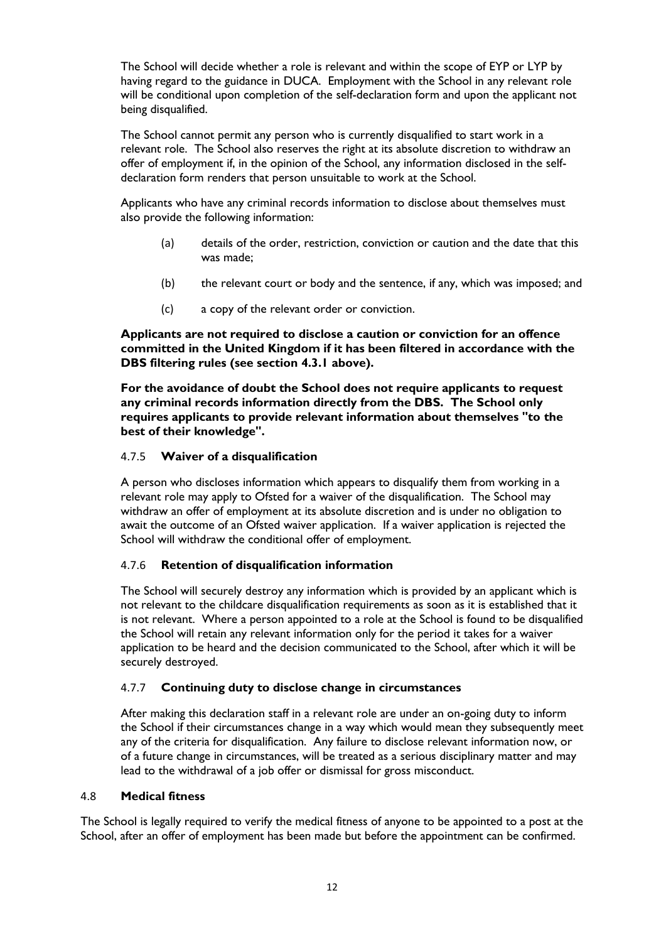The School will decide whether a role is relevant and within the scope of EYP or LYP by having regard to the guidance in DUCA. Employment with the School in any relevant role will be conditional upon completion of the self-declaration form and upon the applicant not being disqualified.

The School cannot permit any person who is currently disqualified to start work in a relevant role. The School also reserves the right at its absolute discretion to withdraw an offer of employment if, in the opinion of the School, any information disclosed in the selfdeclaration form renders that person unsuitable to work at the School.

Applicants who have any criminal records information to disclose about themselves must also provide the following information:

- (a) details of the order, restriction, conviction or caution and the date that this was made;
- (b) the relevant court or body and the sentence, if any, which was imposed; and
- (c) a copy of the relevant order or conviction.

**Applicants are not required to disclose a caution or conviction for an offence committed in the United Kingdom if it has been filtered in accordance with the DBS filtering rules (see section 4.3.1 above).**

**For the avoidance of doubt the School does not require applicants to request any criminal records information directly from the DBS. The School only requires applicants to provide relevant information about themselves "to the best of their knowledge".**

#### 4.7.5 **Waiver of a disqualification**

A person who discloses information which appears to disqualify them from working in a relevant role may apply to Ofsted for a waiver of the disqualification. The School may withdraw an offer of employment at its absolute discretion and is under no obligation to await the outcome of an Ofsted waiver application. If a waiver application is rejected the School will withdraw the conditional offer of employment.

## 4.7.6 **Retention of disqualification information**

The School will securely destroy any information which is provided by an applicant which is not relevant to the childcare disqualification requirements as soon as it is established that it is not relevant. Where a person appointed to a role at the School is found to be disqualified the School will retain any relevant information only for the period it takes for a waiver application to be heard and the decision communicated to the School, after which it will be securely destroyed.

## 4.7.7 **Continuing duty to disclose change in circumstances**

After making this declaration staff in a relevant role are under an on-going duty to inform the School if their circumstances change in a way which would mean they subsequently meet any of the criteria for disqualification. Any failure to disclose relevant information now, or of a future change in circumstances, will be treated as a serious disciplinary matter and may lead to the withdrawal of a job offer or dismissal for gross misconduct.

#### 4.8 **Medical fitness**

The School is legally required to verify the medical fitness of anyone to be appointed to a post at the School, after an offer of employment has been made but before the appointment can be confirmed.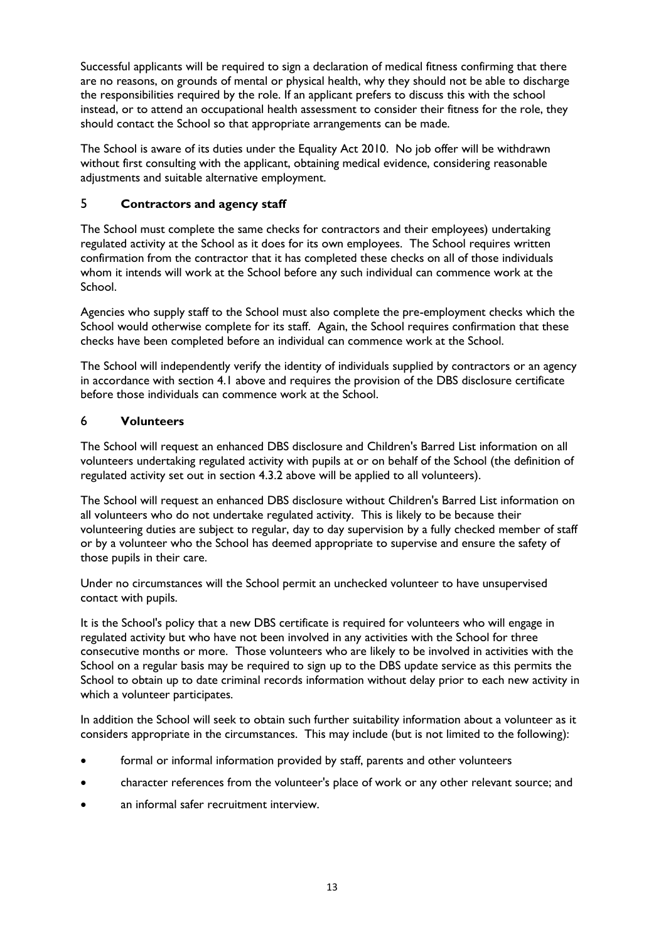Successful applicants will be required to sign a declaration of medical fitness confirming that there are no reasons, on grounds of mental or physical health, why they should not be able to discharge the responsibilities required by the role. If an applicant prefers to discuss this with the school instead, or to attend an occupational health assessment to consider their fitness for the role, they should contact the School so that appropriate arrangements can be made.

The School is aware of its duties under the Equality Act 2010. No job offer will be withdrawn without first consulting with the applicant, obtaining medical evidence, considering reasonable adjustments and suitable alternative employment.

# 5 **Contractors and agency staff**

The School must complete the same checks for contractors and their employees) undertaking regulated activity at the School as it does for its own employees. The School requires written confirmation from the contractor that it has completed these checks on all of those individuals whom it intends will work at the School before any such individual can commence work at the School.

Agencies who supply staff to the School must also complete the pre-employment checks which the School would otherwise complete for its staff. Again, the School requires confirmation that these checks have been completed before an individual can commence work at the School.

The School will independently verify the identity of individuals supplied by contractors or an agency in accordance with section 4.1 above and requires the provision of the DBS disclosure certificate before those individuals can commence work at the School.

# 6 **Volunteers**

The School will request an enhanced DBS disclosure and Children's Barred List information on all volunteers undertaking regulated activity with pupils at or on behalf of the School (the definition of regulated activity set out in section 4.3.2 above will be applied to all volunteers).

The School will request an enhanced DBS disclosure without Children's Barred List information on all volunteers who do not undertake regulated activity. This is likely to be because their volunteering duties are subject to regular, day to day supervision by a fully checked member of staff or by a volunteer who the School has deemed appropriate to supervise and ensure the safety of those pupils in their care.

Under no circumstances will the School permit an unchecked volunteer to have unsupervised contact with pupils.

It is the School's policy that a new DBS certificate is required for volunteers who will engage in regulated activity but who have not been involved in any activities with the School for three consecutive months or more. Those volunteers who are likely to be involved in activities with the School on a regular basis may be required to sign up to the DBS update service as this permits the School to obtain up to date criminal records information without delay prior to each new activity in which a volunteer participates.

In addition the School will seek to obtain such further suitability information about a volunteer as it considers appropriate in the circumstances. This may include (but is not limited to the following):

- formal or informal information provided by staff, parents and other volunteers
- character references from the volunteer's place of work or any other relevant source; and
- an informal safer recruitment interview.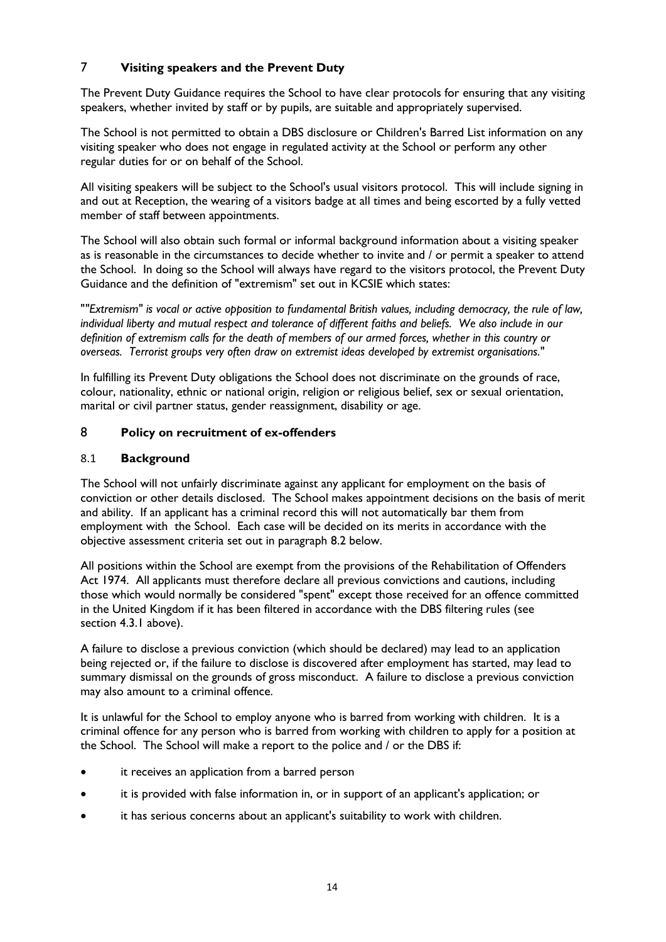# 7 **Visiting speakers and the Prevent Duty**

The Prevent Duty Guidance requires the School to have clear protocols for ensuring that any visiting speakers, whether invited by staff or by pupils, are suitable and appropriately supervised.

The School is not permitted to obtain a DBS disclosure or Children's Barred List information on any visiting speaker who does not engage in regulated activity at the School or perform any other regular duties for or on behalf of the School.

All visiting speakers will be subject to the School's usual visitors protocol. This will include signing in and out at Reception, the wearing of a visitors badge at all times and being escorted by a fully vetted member of staff between appointments.

The School will also obtain such formal or informal background information about a visiting speaker as is reasonable in the circumstances to decide whether to invite and / or permit a speaker to attend the School. In doing so the School will always have regard to the visitors protocol, the Prevent Duty Guidance and the definition of "extremism" set out in KCSIE which states:

"*"Extremism" is vocal or active opposition to fundamental British values, including democracy, the rule of law, individual liberty and mutual respect and tolerance of different faiths and beliefs. We also include in our definition of extremism calls for the death of members of our armed forces, whether in this country or overseas. Terrorist groups very often draw on extremist ideas developed by extremist organisations.*"

In fulfilling its Prevent Duty obligations the School does not discriminate on the grounds of race, colour, nationality, ethnic or national origin, religion or religious belief, sex or sexual orientation, marital or civil partner status, gender reassignment, disability or age.

## 8 **Policy on recruitment of ex-offenders**

## 8.1 **Background**

The School will not unfairly discriminate against any applicant for employment on the basis of conviction or other details disclosed. The School makes appointment decisions on the basis of merit and ability. If an applicant has a criminal record this will not automatically bar them from employment with the School. Each case will be decided on its merits in accordance with the objective assessment criteria set out in paragraph 8.2 below.

All positions within the School are exempt from the provisions of the Rehabilitation of Offenders Act 1974. All applicants must therefore declare all previous convictions and cautions, including those which would normally be considered "spent" except those received for an offence committed in the United Kingdom if it has been filtered in accordance with the DBS filtering rules (see section 4.3.1 above).

A failure to disclose a previous conviction (which should be declared) may lead to an application being rejected or, if the failure to disclose is discovered after employment has started, may lead to summary dismissal on the grounds of gross misconduct. A failure to disclose a previous conviction may also amount to a criminal offence.

It is unlawful for the School to employ anyone who is barred from working with children. It is a criminal offence for any person who is barred from working with children to apply for a position at the School. The School will make a report to the police and / or the DBS if:

- it receives an application from a barred person
- it is provided with false information in, or in support of an applicant's application; or
- it has serious concerns about an applicant's suitability to work with children.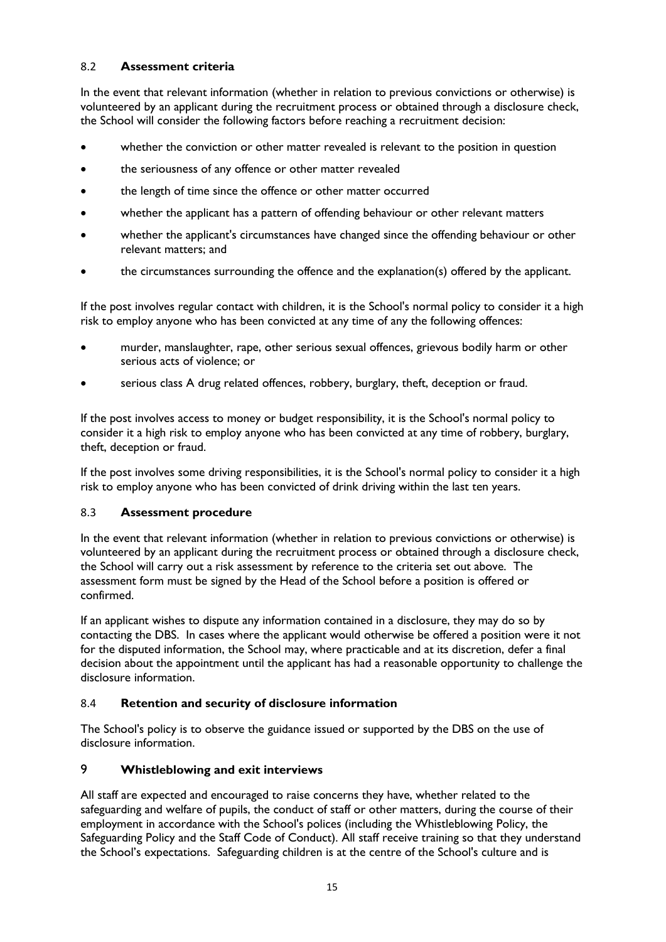# 8.2 **Assessment criteria**

In the event that relevant information (whether in relation to previous convictions or otherwise) is volunteered by an applicant during the recruitment process or obtained through a disclosure check, the School will consider the following factors before reaching a recruitment decision:

- whether the conviction or other matter revealed is relevant to the position in question
- the seriousness of any offence or other matter revealed
- the length of time since the offence or other matter occurred
- whether the applicant has a pattern of offending behaviour or other relevant matters
- whether the applicant's circumstances have changed since the offending behaviour or other relevant matters; and
- the circumstances surrounding the offence and the explanation(s) offered by the applicant.

If the post involves regular contact with children, it is the School's normal policy to consider it a high risk to employ anyone who has been convicted at any time of any the following offences:

- murder, manslaughter, rape, other serious sexual offences, grievous bodily harm or other serious acts of violence; or
- serious class A drug related offences, robbery, burglary, theft, deception or fraud.

If the post involves access to money or budget responsibility, it is the School's normal policy to consider it a high risk to employ anyone who has been convicted at any time of robbery, burglary, theft, deception or fraud.

If the post involves some driving responsibilities, it is the School's normal policy to consider it a high risk to employ anyone who has been convicted of drink driving within the last ten years.

## 8.3 **Assessment procedure**

In the event that relevant information (whether in relation to previous convictions or otherwise) is volunteered by an applicant during the recruitment process or obtained through a disclosure check, the School will carry out a risk assessment by reference to the criteria set out above. The assessment form must be signed by the Head of the School before a position is offered or confirmed.

If an applicant wishes to dispute any information contained in a disclosure, they may do so by contacting the DBS. In cases where the applicant would otherwise be offered a position were it not for the disputed information, the School may, where practicable and at its discretion, defer a final decision about the appointment until the applicant has had a reasonable opportunity to challenge the disclosure information.

# 8.4 **Retention and security of disclosure information**

The School's policy is to observe the guidance issued or supported by the DBS on the use of disclosure information.

# 9 **Whistleblowing and exit interviews**

All staff are expected and encouraged to raise concerns they have, whether related to the safeguarding and welfare of pupils, the conduct of staff or other matters, during the course of their employment in accordance with the School's polices (including the Whistleblowing Policy, the Safeguarding Policy and the Staff Code of Conduct). All staff receive training so that they understand the School's expectations. Safeguarding children is at the centre of the School's culture and is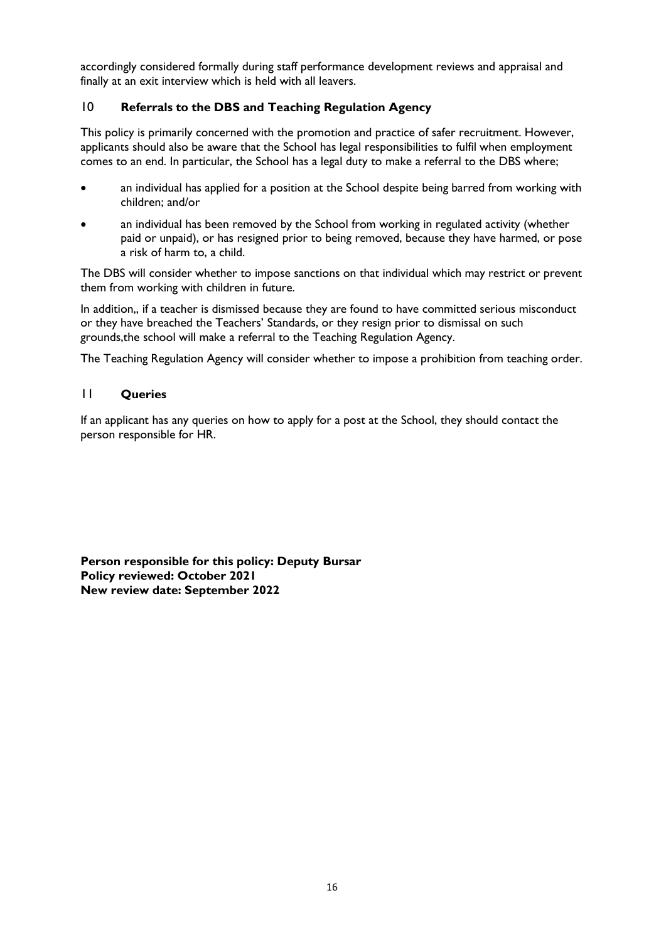accordingly considered formally during staff performance development reviews and appraisal and finally at an exit interview which is held with all leavers.

# 10 **Referrals to the DBS and Teaching Regulation Agency**

This policy is primarily concerned with the promotion and practice of safer recruitment. However, applicants should also be aware that the School has legal responsibilities to fulfil when employment comes to an end. In particular, the School has a legal duty to make a referral to the DBS where;

- an individual has applied for a position at the School despite being barred from working with children; and/or
- an individual has been removed by the School from working in regulated activity (whether paid or unpaid), or has resigned prior to being removed, because they have harmed, or pose a risk of harm to, a child.

The DBS will consider whether to impose sanctions on that individual which may restrict or prevent them from working with children in future.

In addition,, if a teacher is dismissed because they are found to have committed serious misconduct or they have breached the Teachers' Standards, or they resign prior to dismissal on such grounds,the school will make a referral to the Teaching Regulation Agency.

The Teaching Regulation Agency will consider whether to impose a prohibition from teaching order.

# 11 **Queries**

If an applicant has any queries on how to apply for a post at the School, they should contact the person responsible for HR.

**Person responsible for this policy: Deputy Bursar Policy reviewed: October 2021 New review date: September 2022**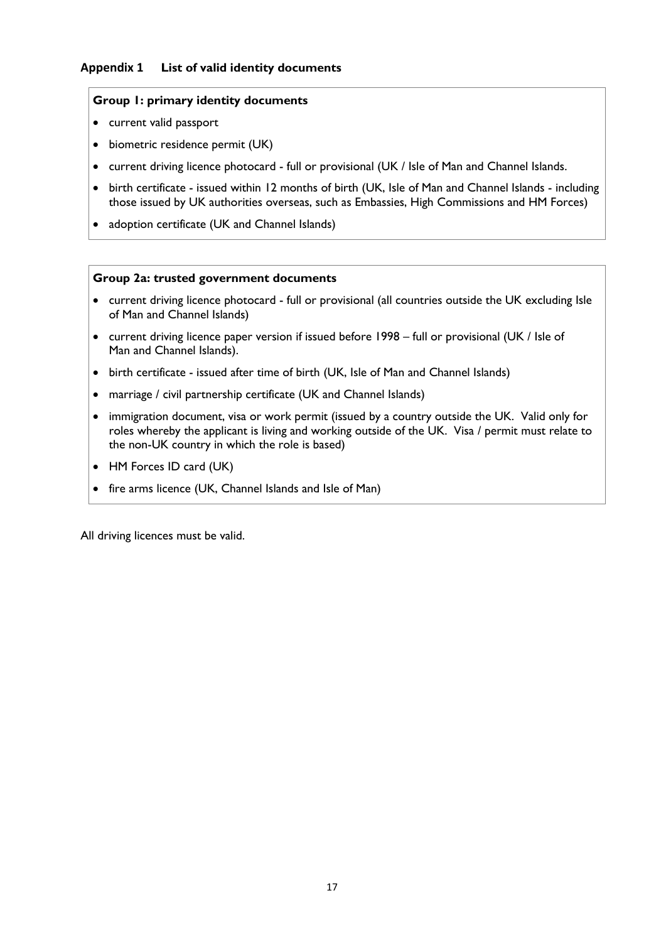#### **Appendix 1 List of valid identity documents**

#### **Group 1: primary identity documents**

- current valid passport
- biometric residence permit (UK)
- current driving licence photocard full or provisional (UK / Isle of Man and Channel Islands.
- birth certificate issued within 12 months of birth (UK, Isle of Man and Channel Islands including those issued by UK authorities overseas, such as Embassies, High Commissions and HM Forces)
- adoption certificate (UK and Channel Islands)

#### **Group 2a: trusted government documents**

- current driving licence photocard full or provisional (all countries outside the UK excluding Isle of Man and Channel Islands)
- current driving licence paper version if issued before 1998 full or provisional (UK / Isle of Man and Channel Islands).
- birth certificate issued after time of birth (UK, Isle of Man and Channel Islands)
- marriage / civil partnership certificate (UK and Channel Islands)
- immigration document, visa or work permit (issued by a country outside the UK. Valid only for roles whereby the applicant is living and working outside of the UK. Visa / permit must relate to the non-UK country in which the role is based)
- HM Forces ID card (UK)
- fire arms licence (UK, Channel Islands and Isle of Man)

All driving licences must be valid.